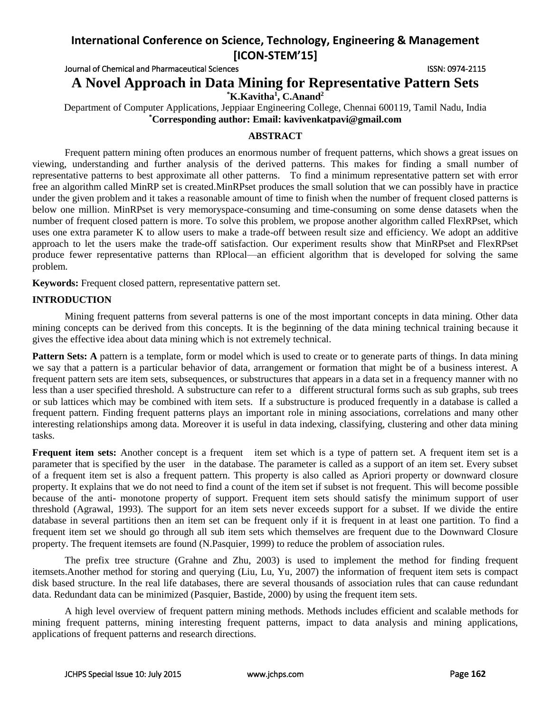Journal of Chemical and Pharmaceutical Sciences **ISSN: 0974-2115** ISSN: 0974-2115

**A Novel Approach in Data Mining for Representative Pattern Sets**

**\*K.Kavitha<sup>1</sup> , C.Anand<sup>2</sup>**

Department of Computer Applications, Jeppiaar Engineering College, Chennai 600119, Tamil Nadu, India **\*Corresponding author: Email: kavivenkatpavi@gmail.com**

### **ABSTRACT**

Frequent pattern mining often produces an enormous number of frequent patterns, which shows a great issues on viewing, understanding and further analysis of the derived patterns. This makes for finding a small number of representative patterns to best approximate all other patterns. To find a minimum representative pattern set with error free an algorithm called MinRP set is created.MinRPset produces the small solution that we can possibly have in practice under the given problem and it takes a reasonable amount of time to finish when the number of frequent closed patterns is below one million. MinRPset is very memoryspace-consuming and time-consuming on some dense datasets when the number of frequent closed pattern is more. To solve this problem, we propose another algorithm called FlexRPset, which uses one extra parameter K to allow users to make a trade-off between result size and efficiency. We adopt an additive approach to let the users make the trade-off satisfaction. Our experiment results show that MinRPset and FlexRPset produce fewer representative patterns than RPlocal—an efficient algorithm that is developed for solving the same problem.

**Keywords:** Frequent closed pattern, representative pattern set.

#### **INTRODUCTION**

Mining frequent patterns from several patterns is one of the most important concepts in data mining. Other data mining concepts can be derived from this concepts. It is the beginning of the data mining technical training because it gives the effective idea about data mining which is not extremely technical.

**Pattern Sets:** A pattern is a template, form or model which is used to create or to generate parts of things. In data mining we say that a pattern is a particular behavior of data, arrangement or formation that might be of a business interest. A frequent pattern sets are item sets, subsequences, or substructures that appears in a data set in a frequency manner with no less than a user specified threshold. A substructure can refer to a different structural forms such as sub graphs, sub trees or sub lattices which may be combined with item sets. If a substructure is produced frequently in a database is called a frequent pattern. Finding frequent patterns plays an important role in mining associations, correlations and many other interesting relationships among data. Moreover it is useful in data indexing, classifying, clustering and other data mining tasks.

**Frequent item sets:** Another concept is a frequent item set which is a type of pattern set. A frequent item set is a parameter that is specified by the user in the database. The parameter is called as a support of an item set. Every subset of a frequent item set is also a frequent pattern. This property is also called as Apriori property or downward closure property. It explains that we do not need to find a count of the item set if subset is not frequent. This will become possible because of the anti- monotone property of support. Frequent item sets should satisfy the minimum support of user threshold (Agrawal, 1993). The support for an item sets never exceeds support for a subset. If we divide the entire database in several partitions then an item set can be frequent only if it is frequent in at least one partition. To find a frequent item set we should go through all sub item sets which themselves are frequent due to the Downward Closure property. The frequent itemsets are found (N.Pasquier, 1999) to reduce the problem of association rules.

The prefix tree structure (Grahne and Zhu, 2003) is used to implement the method for finding frequent itemsets.Another method for storing and querying (Liu, Lu, Yu, 2007) the information of frequent item sets is compact disk based structure. In the real life databases, there are several thousands of association rules that can cause redundant data. Redundant data can be minimized (Pasquier, Bastide, 2000) by using the frequent item sets.

A high level overview of frequent pattern mining methods. Methods includes efficient and scalable methods for mining frequent patterns, mining interesting frequent patterns, impact to data analysis and mining applications, applications of frequent patterns and research directions.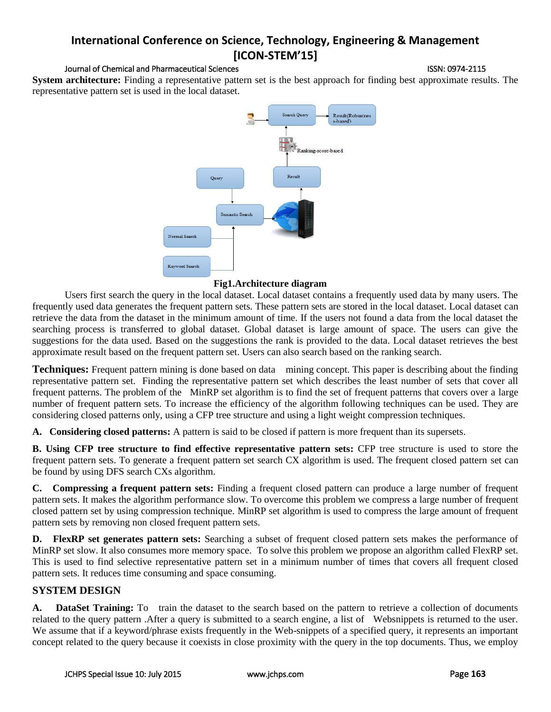#### Journal of Chemical and Pharmaceutical Sciences **ISSN: 0974-2115** ISSN: 0974-2115

**System architecture:** Finding a representative pattern set is the best approach for finding best approximate results. The representative pattern set is used in the local dataset.



#### **Fig1.Architecture diagram**

Users first search the query in the local dataset. Local dataset contains a frequently used data by many users. The frequently used data generates the frequent pattern sets. These pattern sets are stored in the local dataset. Local dataset can retrieve the data from the dataset in the minimum amount of time. If the users not found a data from the local dataset the searching process is transferred to global dataset. Global dataset is large amount of space. The users can give the suggestions for the data used. Based on the suggestions the rank is provided to the data. Local dataset retrieves the best approximate result based on the frequent pattern set. Users can also search based on the ranking search.

**Techniques:** Frequent pattern mining is done based on data mining concept. This paper is describing about the finding representative pattern set. Finding the representative pattern set which describes the least number of sets that cover all frequent patterns. The problem of the MinRP set algorithm is to find the set of frequent patterns that covers over a large number of frequent pattern sets. To increase the efficiency of the algorithm following techniques can be used. They are considering closed patterns only, using a CFP tree structure and using a light weight compression techniques.

**A. Considering closed patterns:** A pattern is said to be closed if pattern is more frequent than its supersets.

**B. Using CFP tree structure to find effective representative pattern sets:** CFP tree structure is used to store the frequent pattern sets. To generate a frequent pattern set search CX algorithm is used. The frequent closed pattern set can be found by using DFS search CXs algorithm.

**C. Compressing a frequent pattern sets:** Finding a frequent closed pattern can produce a large number of frequent pattern sets. It makes the algorithm performance slow. To overcome this problem we compress a large number of frequent closed pattern set by using compression technique. MinRP set algorithm is used to compress the large amount of frequent pattern sets by removing non closed frequent pattern sets.

**D. FlexRP set generates pattern sets:** Searching a subset of frequent closed pattern sets makes the performance of MinRP set slow. It also consumes more memory space. To solve this problem we propose an algorithm called FlexRP set. This is used to find selective representative pattern set in a minimum number of times that covers all frequent closed pattern sets. It reduces time consuming and space consuming.

## **SYSTEM DESIGN**

**A. DataSet Training:** To train the dataset to the search based on the pattern to retrieve a collection of documents related to the query pattern .After a query is submitted to a search engine, a list of Websnippets is returned to the user. We assume that if a keyword/phrase exists frequently in the Web-snippets of a specified query, it represents an important concept related to the query because it coexists in close proximity with the query in the top documents. Thus, we employ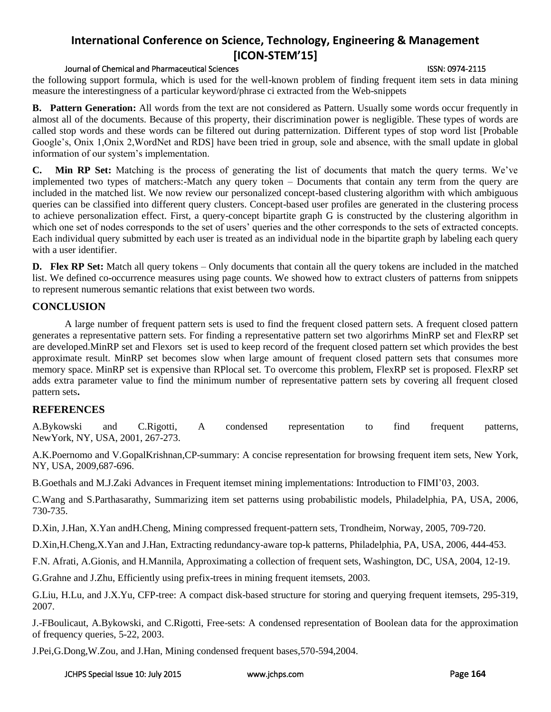#### Journal of Chemical and Pharmaceutical Sciences ISSN: 0974-2115

the following support formula, which is used for the well-known problem of finding frequent item sets in data mining measure the interestingness of a particular keyword/phrase ci extracted from the Web-snippets

**B. Pattern Generation:** All words from the text are not considered as Pattern. Usually some words occur frequently in almost all of the documents. Because of this property, their discrimination power is negligible. These types of words are called stop words and these words can be filtered out during patternization. Different types of stop word list [Probable Google's, Onix 1,Onix 2,WordNet and RDS] have been tried in group, sole and absence, with the small update in global information of our system's implementation.

**C. Min RP Set:** Matching is the process of generating the list of documents that match the query terms. We've implemented two types of matchers:-Match any query token – Documents that contain any term from the query are included in the matched list. We now review our personalized concept-based clustering algorithm with which ambiguous queries can be classified into different query clusters. Concept-based user profiles are generated in the clustering process to achieve personalization effect. First, a query-concept bipartite graph G is constructed by the clustering algorithm in which one set of nodes corresponds to the set of users' queries and the other corresponds to the sets of extracted concepts. Each individual query submitted by each user is treated as an individual node in the bipartite graph by labeling each query with a user identifier.

**D.** Flex RP Set: Match all query tokens – Only documents that contain all the query tokens are included in the matched list. We defined co-occurrence measures using page counts. We showed how to extract clusters of patterns from snippets to represent numerous semantic relations that exist between two words.

### **CONCLUSION**

A large number of frequent pattern sets is used to find the frequent closed pattern sets. A frequent closed pattern generates a representative pattern sets. For finding a representative pattern set two algorirhms MinRP set and FlexRP set are developed.MinRP set and Flexors set is used to keep record of the frequent closed pattern set which provides the best approximate result. MinRP set becomes slow when large amount of frequent closed pattern sets that consumes more memory space. MinRP set is expensive than RPlocal set. To overcome this problem, FlexRP set is proposed. FlexRP set adds extra parameter value to find the minimum number of representative pattern sets by covering all frequent closed pattern sets**.**

## **REFERENCES**

A.Bykowski and C.Rigotti, A condensed representation to find frequent patterns, NewYork, NY, USA, 2001, 267-273.

A.K.Poernomo and V.GopalKrishnan,CP-summary: A concise representation for browsing frequent item sets, New York, NY, USA, 2009,687-696.

B.Goethals and M.J.Zaki Advances in Frequent itemset mining implementations: Introduction to FIMI'03, 2003.

C.Wang and S.Parthasarathy, Summarizing item set patterns using probabilistic models, Philadelphia, PA, USA, 2006, 730-735.

D.Xin, J.Han, X.Yan andH.Cheng, Mining compressed frequent-pattern sets, Trondheim, Norway, 2005, 709-720.

D.Xin,H.Cheng,X.Yan and J.Han, Extracting redundancy-aware top-k patterns, Philadelphia, PA, USA, 2006, 444-453.

F.N. Afrati, A.Gionis, and H.Mannila, Approximating a collection of frequent sets, Washington, DC, USA, 2004, 12-19.

G.Grahne and J.Zhu, Efficiently using prefix-trees in mining frequent itemsets, 2003.

G.Liu, H.Lu, and J.X.Yu, CFP-tree: A compact disk-based structure for storing and querying frequent itemsets, 295-319, 2007.

J.-FBoulicaut, A.Bykowski, and C.Rigotti, Free-sets: A condensed representation of Boolean data for the approximation of frequency queries, 5-22, 2003.

J.Pei,G.Dong,W.Zou, and J.Han, Mining condensed frequent bases,570-594,2004.